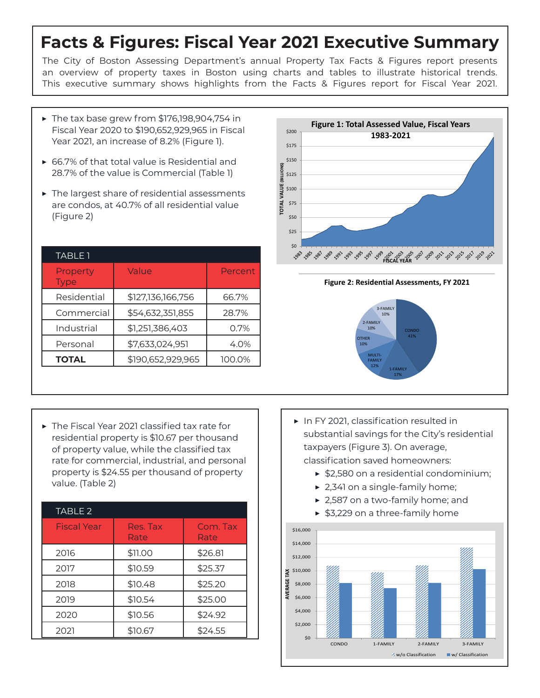## **Facts & Figures: Fiscal Year 2021 Executive Summary**

The City of Boston Assessing Department's annual Property Tax Facts & Figures report presents an overview of property taxes in Boston using charts and tables to illustrate historical trends. This executive summary shows highlights from the Facts & Figures report for Fiscal Year 2021.

- $\blacktriangleright$  The tax base grew from \$176,198,904,754 in Fiscal Year 2020 to \$190,652,929,965 in Fiscal Year 2021, an increase of 8.2% (Figure 1).
- ▶ 66.7% of that total value is Residential and 28.7% of the value is Commercial (Table 1)
- ▶ The largest share of residential assessments are condos, at 40.7% of all residential value (Figure 2)

| <b>TABLE 1</b>          |                   |         |
|-------------------------|-------------------|---------|
| Property<br><b>Type</b> | Value             | Percent |
| Residential             | \$127,136,166,756 | 66.7%   |
| Commercial              | \$54,632,351,855  | 28.7%   |
| Industrial              | \$1,251,386,403   | 0.7%    |
| Personal                | \$7,633,024,951   | 4.0%    |
| <b>TOTAL</b>            | \$190,652,929,965 | 100.0%  |





▶ The Fiscal Year 2021 classified tax rate for residential property is \$10.67 per thousand of property value, while the classified tax rate for commercial, industrial, and personal property is \$24.55 per thousand of property value. (Table 2)

 $\overline{a}$ 

| TABLE 2            |                  |                  |
|--------------------|------------------|------------------|
| <b>Fiscal Year</b> | Res. Tax<br>Rate | Com. Tax<br>Rate |
| 2016               | \$11.00          | \$26.81          |
| 2017               | \$10.59          | \$25.37          |
| 2018               | \$10.48          | \$25.20          |
| 2019               | \$10.54          | \$25.00          |
| 2020               | \$10.56          | \$24.92          |
| 2021               | \$10.67          | \$24.55          |

- ▶ In FY 2021, classification resulted in substantial savings for the City's residential taxpayers (Figure 3). On average, classification saved homeowners:
	- ▶ \$2,580 on a residential condominium;
	- ▶ 2,341 on a single-family home;
	- ▶ 2,587 on a two-family home; and
	- ▶ \$3,229 on a three-family home